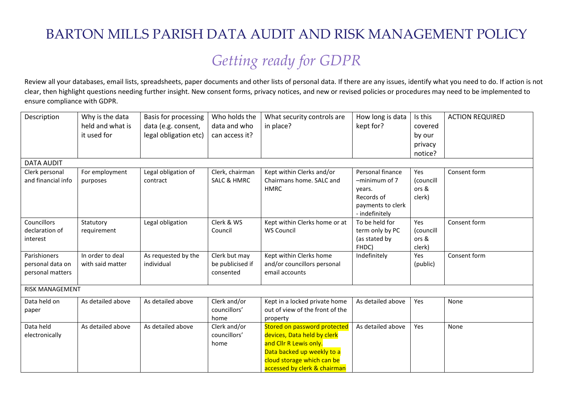## BARTON MILLS PARISH DATA AUDIT AND RISK MANAGEMENT POLICY

## *Getting ready for GDPR*

Review all your databases, email lists, spreadsheets, paper documents and other lists of personal data. If there are any issues, identify what you need to do. If action is not clear, then highlight questions needing further insight. New consent forms, privacy notices, and new or revised policies or procedures may need to be implemented to ensure compliance with GDPR.

| Description                | Why is the data   | Basis for processing  | Who holds the          | What security controls are      | How long is data                 | Is this            | <b>ACTION REQUIRED</b> |
|----------------------------|-------------------|-----------------------|------------------------|---------------------------------|----------------------------------|--------------------|------------------------|
|                            | held and what is  | data (e.g. consent,   | data and who           | in place?                       | kept for?                        | covered            |                        |
|                            | it used for       | legal obligation etc) | can access it?         |                                 |                                  | by our             |                        |
|                            |                   |                       |                        |                                 |                                  | privacy            |                        |
|                            |                   |                       |                        |                                 |                                  | notice?            |                        |
| <b>DATA AUDIT</b>          |                   |                       |                        |                                 |                                  |                    |                        |
| Clerk personal             | For employment    | Legal obligation of   | Clerk, chairman        | Kept within Clerks and/or       | Personal finance                 | Yes                | Consent form           |
| and financial info         | purposes          | contract              | <b>SALC &amp; HMRC</b> | Chairmans home. SALC and        | $-minimum of 7$                  | (councill          |                        |
|                            |                   |                       |                        | <b>HMRC</b>                     | years.                           | ors &              |                        |
|                            |                   |                       |                        |                                 | Records of                       | clerk)             |                        |
|                            |                   |                       |                        |                                 | payments to clerk                |                    |                        |
|                            |                   |                       |                        |                                 | - indefinitely                   |                    |                        |
| Councillors                | Statutory         | Legal obligation      | Clerk & WS             | Kept within Clerks home or at   | To be held for                   | Yes                | Consent form           |
| declaration of<br>interest | requirement       |                       | Council                | <b>WS Council</b>               | term only by PC<br>(as stated by | (councill<br>ors & |                        |
|                            |                   |                       |                        |                                 | FHDC)                            | clerk)             |                        |
| Parishioners               | In order to deal  | As requested by the   | Clerk but may          | Kept within Clerks home         | Indefinitely                     | Yes                | Consent form           |
| personal data on           | with said matter  | individual            | be publicised if       | and/or councillors personal     |                                  | (public)           |                        |
| personal matters           |                   |                       | consented              | email accounts                  |                                  |                    |                        |
|                            |                   |                       |                        |                                 |                                  |                    |                        |
| <b>RISK MANAGEMENT</b>     |                   |                       |                        |                                 |                                  |                    |                        |
| Data held on               | As detailed above | As detailed above     | Clerk and/or           | Kept in a locked private home   | As detailed above                | Yes                | None                   |
| paper                      |                   |                       | councillors'           | out of view of the front of the |                                  |                    |                        |
|                            |                   |                       | home                   | property                        |                                  |                    |                        |
| Data held                  | As detailed above | As detailed above     | Clerk and/or           | Stored on password protected    | As detailed above                | Yes                | None                   |
| electronically             |                   |                       | councillors'           | devices, Data held by clerk     |                                  |                    |                        |
|                            |                   |                       | home                   | and Cllr R Lewis only.          |                                  |                    |                        |
|                            |                   |                       |                        | Data backed up weekly to a      |                                  |                    |                        |
|                            |                   |                       |                        | cloud storage which can be      |                                  |                    |                        |
|                            |                   |                       |                        | accessed by clerk & chairman    |                                  |                    |                        |